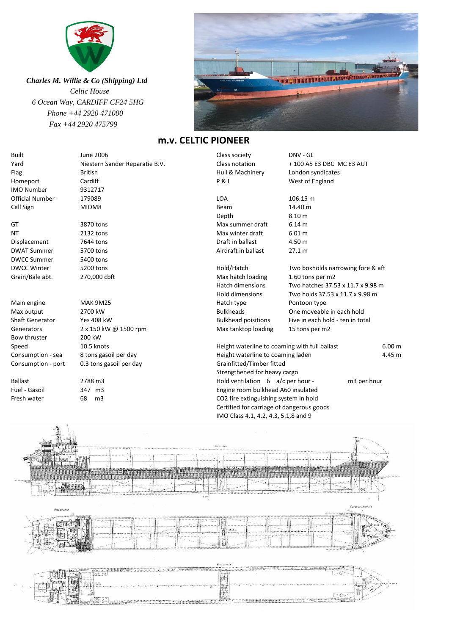

 *Charles M. Willie & Co (Shipping) Ltd Celtic House 6 Ocean Way, CARDIFF CF24 5HG Phone +44 2920 471000 Fax +44 2920 475799*



## **m.v. CELTIC PIONEER**

| <b>Built</b>           | June 2006                      | Class society                                                                     | DNV - GL                          |
|------------------------|--------------------------------|-----------------------------------------------------------------------------------|-----------------------------------|
| Yard                   | Niestern Sander Reparatie B.V. | Class notation                                                                    | + 100 A5 E3 DBC MC E3 AUT         |
| Flag                   | <b>British</b>                 | Hull & Machinery                                                                  | London syndicates                 |
| Homeport               | Cardiff                        | <b>P&amp;I</b>                                                                    | West of England                   |
| <b>IMO Number</b>      | 9312717                        |                                                                                   |                                   |
| <b>Official Number</b> | 179089                         | <b>LOA</b>                                                                        | 106.15 m                          |
| Call Sign              | MIOM8                          | Beam                                                                              | 14.40 m                           |
|                        |                                | Depth                                                                             | 8.10 m                            |
| GT                     | 3870 tons                      | Max summer draft                                                                  | 6.14 m                            |
| ΝT                     | 2132 tons                      | Max winter draft                                                                  | 6.01 m                            |
| Displacement           | 7644 tons                      | Draft in ballast                                                                  | 4.50 m                            |
| <b>DWAT Summer</b>     | 5700 tons                      | Airdraft in ballast                                                               | 27.1 m                            |
| <b>DWCC Summer</b>     | 5400 tons                      |                                                                                   |                                   |
| <b>DWCC Winter</b>     | 5200 tons                      | Hold/Hatch                                                                        | Two boxholds narrowing fore & aft |
| Grain/Bale abt.        | 270,000 cbft                   | Max hatch loading                                                                 | 1.60 tons per m2                  |
|                        |                                | Hatch dimensions                                                                  | Two hatches 37.53 x 11.7 x 9.98 m |
|                        |                                | Hold dimensions                                                                   | Two holds 37.53 x 11.7 x 9.98 m   |
| Main engine            | <b>MAK 9M25</b>                | Hatch type                                                                        | Pontoon type                      |
| Max output             | 2700 kW                        | <b>Bulkheads</b>                                                                  | One moveable in each hold         |
| <b>Shaft Generator</b> | <b>Yes 408 kW</b>              | <b>Bulkhead poisitions</b>                                                        | Five in each hold - ten in total  |
| Generators             | 2 x 150 kW @ 1500 rpm          | Max tanktop loading                                                               | 15 tons per m2                    |
| Bow thruster           | 200 kW                         |                                                                                   |                                   |
| Speed                  | 10.5 knots                     | Height waterline to coaming with full ballast                                     | 6.00 m                            |
| Consumption - sea      | 8 tons gasoil per day          | Height waterline to coaming laden                                                 | 4.45 m                            |
| Consumption - port     | 0.3 tons gasoil per day        | Grainfitted/Timber fitted                                                         |                                   |
|                        |                                | Strengthened for heavy cargo                                                      |                                   |
| <b>Ballast</b>         | 2788 m3                        | Hold ventilation 6 a/c per hour -                                                 | m3 per hour                       |
| Fuel - Gasoil          | 347 m3                         | Engine room bulkhead A60 insulated                                                |                                   |
| Fresh water            | m <sub>3</sub><br>68           | CO2 fire extinguishing system in hold                                             |                                   |
|                        |                                | Certified for carriage of dangerous goods<br>IMO Class 4.1, 4.2, 4.3, 5.1,8 and 9 |                                   |
|                        |                                |                                                                                   |                                   |
|                        |                                |                                                                                   |                                   |
|                        |                                |                                                                                   |                                   |
|                        |                                |                                                                                   |                                   |
|                        |                                | 2000.000                                                                          |                                   |
|                        |                                |                                                                                   |                                   |
|                        |                                |                                                                                   |                                   |
|                        |                                |                                                                                   |                                   |
|                        |                                |                                                                                   |                                   |
|                        |                                |                                                                                   |                                   |
|                        |                                |                                                                                   |                                   |
| <b>Seconded</b>        |                                |                                                                                   | Eproposite-docs                   |
|                        |                                |                                                                                   |                                   |
|                        |                                |                                                                                   | 83<br>佛子                          |
|                        |                                |                                                                                   |                                   |
|                        |                                |                                                                                   |                                   |

 $\rightarrow$ X F.  $\frac{1}{2}$  $\leftarrow$